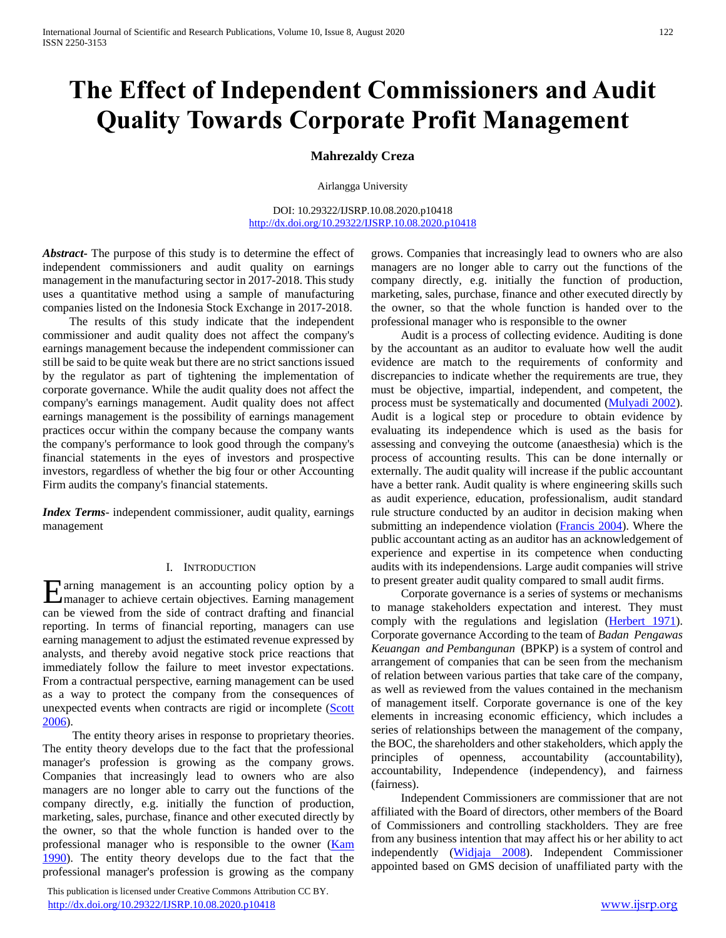# **The Effect of Independent Commissioners and Audit Quality Towards Corporate Profit Management**

# **Mahrezaldy Creza**

Airlangga University

DOI: 10.29322/IJSRP.10.08.2020.p10418 <http://dx.doi.org/10.29322/IJSRP.10.08.2020.p10418>

*Abstract***-** The purpose of this study is to determine the effect of independent commissioners and audit quality on earnings management in the manufacturing sector in 2017-2018. This study uses a quantitative method using a sample of manufacturing companies listed on the Indonesia Stock Exchange in 2017-2018.

 The results of this study indicate that the independent commissioner and audit quality does not affect the company's earnings management because the independent commissioner can still be said to be quite weak but there are no strict sanctions issued by the regulator as part of tightening the implementation of corporate governance. While the audit quality does not affect the company's earnings management. Audit quality does not affect earnings management is the possibility of earnings management practices occur within the company because the company wants the company's performance to look good through the company's financial statements in the eyes of investors and prospective investors, regardless of whether the big four or other Accounting Firm audits the company's financial statements.

*Index Terms*- independent commissioner, audit quality, earnings management

# I. INTRODUCTION

arning management is an accounting policy option by a Earning management is an accounting policy option by a management of achieve certain objectives. Earning management can be viewed from the side of contract drafting and financial reporting. In terms of financial reporting, managers can use earning management to adjust the estimated revenue expressed by analysts, and thereby avoid negative stock price reactions that immediately follow the failure to meet investor expectations. From a contractual perspective, earning management can be used as a way to protect the company from the consequences of unexpected events when contracts are rigid or incomplete (Scott 2006).

 The entity theory arises in response to proprietary theories. The entity theory develops due to the fact that the professional manager's profession is growing as the company grows. Companies that increasingly lead to owners who are also managers are no longer able to carry out the functions of the company directly, e.g. initially the function of production, marketing, sales, purchase, finance and other executed directly by the owner, so that the whole function is handed over to the professional manager who is responsible to the owner [\(Kam](#page-6-0)  [1990\)](#page-6-0). The entity theory develops due to the fact that the professional manager's profession is growing as the company

 This publication is licensed under Creative Commons Attribution CC BY. <http://dx.doi.org/10.29322/IJSRP.10.08.2020.p10418> [www.ijsrp.org](http://ijsrp.org/)

grows. Companies that increasingly lead to owners who are also managers are no longer able to carry out the functions of the company directly, e.g. initially the function of production, marketing, sales, purchase, finance and other executed directly by the owner, so that the whole function is handed over to the professional manager who is responsible to the owner

 Audit is a process of collecting evidence. Auditing is done by the accountant as an auditor to evaluate how well the audit evidence are match to the requirements of conformity and discrepancies to indicate whether the requirements are true, they must be objective, impartial, independent, and competent, the process must be systematically and documented [\(Mulyadi 2002\)](#page-6-1). Audit is a logical step or procedure to obtain evidence by evaluating its independence which is used as the basis for assessing and conveying the outcome (anaesthesia) which is the process of accounting results. This can be done internally or externally. The audit quality will increase if the public accountant have a better rank. Audit quality is where engineering skills such as audit experience, education, professionalism, audit standard rule structure conducted by an auditor in decision making when submitting an independence violation [\(Francis 2004\)](#page-6-2). Where the public accountant acting as an auditor has an acknowledgement of experience and expertise in its competence when conducting audits with its independensions. Large audit companies will strive to present greater audit quality compared to small audit firms.

 Corporate governance is a series of systems or mechanisms to manage stakeholders expectation and interest. They must comply with the regulations and legislation [\(Herbert 1971\)](#page-6-3). Corporate governance According to the team of *Badan Pengawas Keuangan and Pembangunan* (BPKP) is a system of control and arrangement of companies that can be seen from the mechanism of relation between various parties that take care of the company, as well as reviewed from the values contained in the mechanism of management itself. Corporate governance is one of the key elements in increasing economic efficiency, which includes a series of relationships between the management of the company, the BOC, the shareholders and other stakeholders, which apply the principles of openness, accountability (accountability), accountability, Independence (independency), and fairness (fairness).

 Independent Commissioners are commissioner that are not affiliated with the Board of directors, other members of the Board of Commissioners and controlling stackholders. They are free from any business intention that may affect his or her ability to act independently (Widjaja 2008). Independent Commissioner appointed based on GMS decision of unaffiliated party with the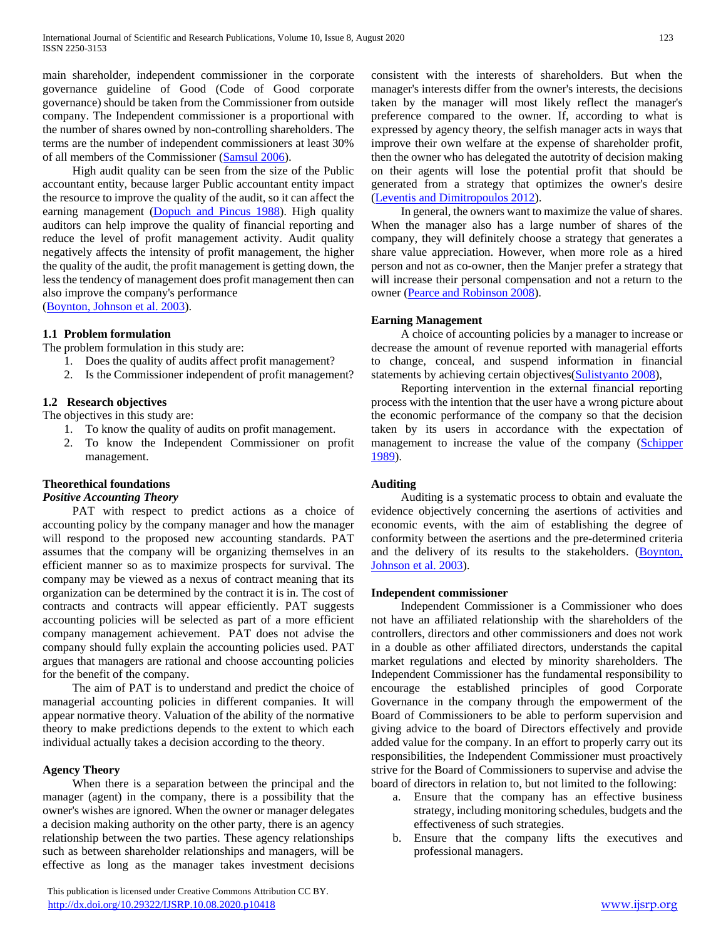main shareholder, independent commissioner in the corporate governance guideline of Good (Code of Good corporate governance) should be taken from the Commissioner from outside company. The Independent commissioner is a proportional with the number of shares owned by non-controlling shareholders. The terms are the number of independent commissioners at least 30% of all members of the Commissioner [\(Samsul 2006\)](#page-6-4).

 High audit quality can be seen from the size of the Public accountant entity, because larger Public accountant entity impact the resource to improve the quality of the audit, so it can affect the earning management [\(Dopuch and Pincus 1988\)](#page-6-5). High quality auditors can help improve the quality of financial reporting and reduce the level of profit management activity. Audit quality negatively affects the intensity of profit management, the higher the quality of the audit, the profit management is getting down, the less the tendency of management does profit management then can also improve the company's performance [\(Boynton, Johnson et al. 2003\)](#page-6-6).

**1.1 Problem formulation**

The problem formulation in this study are:

- 1. Does the quality of audits affect profit management?
- 2. Is the Commissioner independent of profit management?

# **1.2 Research objectives**

The objectives in this study are:

- 1. To know the quality of audits on profit management.
- 2. To know the Independent Commissioner on profit management.

# **Theorethical foundations**

# *Positive Accounting Theory*

PAT with respect to predict actions as a choice of accounting policy by the company manager and how the manager will respond to the proposed new accounting standards. PAT assumes that the company will be organizing themselves in an efficient manner so as to maximize prospects for survival. The company may be viewed as a nexus of contract meaning that its organization can be determined by the contract it is in. The cost of contracts and contracts will appear efficiently. PAT suggests accounting policies will be selected as part of a more efficient company management achievement. PAT does not advise the company should fully explain the accounting policies used. PAT argues that managers are rational and choose accounting policies for the benefit of the company.

 The aim of PAT is to understand and predict the choice of managerial accounting policies in different companies. It will appear normative theory. Valuation of the ability of the normative theory to make predictions depends to the extent to which each individual actually takes a decision according to the theory.

# **Agency Theory**

 When there is a separation between the principal and the manager (agent) in the company, there is a possibility that the owner's wishes are ignored. When the owner or manager delegates a decision making authority on the other party, there is an agency relationship between the two parties. These agency relationships such as between shareholder relationships and managers, will be effective as long as the manager takes investment decisions

 This publication is licensed under Creative Commons Attribution CC BY. <http://dx.doi.org/10.29322/IJSRP.10.08.2020.p10418> [www.ijsrp.org](http://ijsrp.org/)

consistent with the interests of shareholders. But when the manager's interests differ from the owner's interests, the decisions taken by the manager will most likely reflect the manager's preference compared to the owner. If, according to what is expressed by agency theory, the selfish manager acts in ways that improve their own welfare at the expense of shareholder profit, then the owner who has delegated the autotrity of decision making on their agents will lose the potential profit that should be generated from a strategy that optimizes the owner's desire [\(Leventis and Dimitropoulos 2012\)](#page-6-7).

 In general, the owners want to maximize the value of shares. When the manager also has a large number of shares of the company, they will definitely choose a strategy that generates a share value appreciation. However, when more role as a hired person and not as co-owner, then the Manjer prefer a strategy that will increase their personal compensation and not a return to the owner [\(Pearce and Robinson 2008\)](#page-6-8).

## **Earning Management**

 A choice of accounting policies by a manager to increase or decrease the amount of revenue reported with managerial efforts to change, conceal, and suspend information in financial statements by achieving certain objectives(Sulistyanto 2008),

 Reporting intervention in the external financial reporting process with the intention that the user have a wrong picture about the economic performance of the company so that the decision taken by its users in accordance with the expectation of management to increase the value of the company (Schipper [1989\)](#page-7-0).

# **Auditing**

 Auditing is a systematic process to obtain and evaluate the evidence objectively concerning the asertions of activities and economic events, with the aim of establishing the degree of conformity between the asertions and the pre-determined criteria and the delivery of its results to the stakeholders. (Boynton, [Johnson et al. 2003\)](#page-6-6).

# **Independent commissioner**

 Independent Commissioner is a Commissioner who does not have an affiliated relationship with the shareholders of the controllers, directors and other commissioners and does not work in a double as other affiliated directors, understands the capital market regulations and elected by minority shareholders. The Independent Commissioner has the fundamental responsibility to encourage the established principles of good Corporate Governance in the company through the empowerment of the Board of Commissioners to be able to perform supervision and giving advice to the board of Directors effectively and provide added value for the company. In an effort to properly carry out its responsibilities, the Independent Commissioner must proactively strive for the Board of Commissioners to supervise and advise the board of directors in relation to, but not limited to the following:

- a. Ensure that the company has an effective business strategy, including monitoring schedules, budgets and the effectiveness of such strategies.
- b. Ensure that the company lifts the executives and professional managers.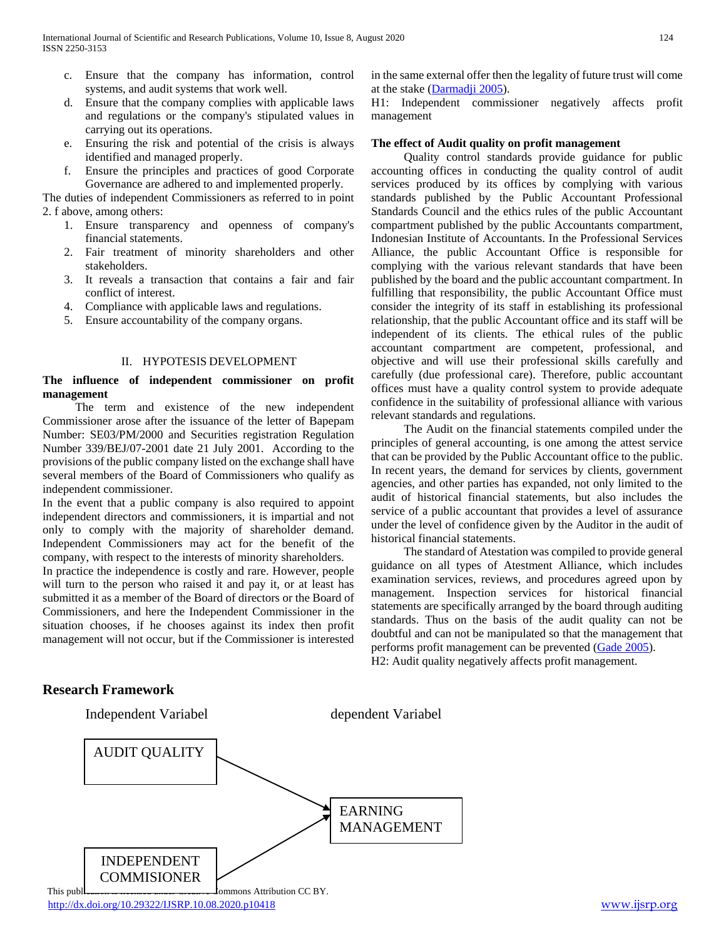- c. Ensure that the company has information, control systems, and audit systems that work well.
- d. Ensure that the company complies with applicable laws and regulations or the company's stipulated values in carrying out its operations.
- e. Ensuring the risk and potential of the crisis is always identified and managed properly.
- f. Ensure the principles and practices of good Corporate Governance are adhered to and implemented properly.

The duties of independent Commissioners as referred to in point 2. f above, among others:

- 1. Ensure transparency and openness of company's financial statements.
- 2. Fair treatment of minority shareholders and other stakeholders.
- 3. It reveals a transaction that contains a fair and fair conflict of interest.
- 4. Compliance with applicable laws and regulations.
- 5. Ensure accountability of the company organs.

# II. HYPOTESIS DEVELOPMENT

# **The influence of independent commissioner on profit management**

 The term and existence of the new independent Commissioner arose after the issuance of the letter of Bapepam Number: SE03/PM/2000 and Securities registration Regulation Number 339/BEJ/07-2001 date 21 July 2001. According to the provisions of the public company listed on the exchange shall have several members of the Board of Commissioners who qualify as independent commissioner.

In the event that a public company is also required to appoint independent directors and commissioners, it is impartial and not only to comply with the majority of shareholder demand. Independent Commissioners may act for the benefit of the company, with respect to the interests of minority shareholders.

In practice the independence is costly and rare. However, people will turn to the person who raised it and pay it, or at least has submitted it as a member of the Board of directors or the Board of Commissioners, and here the Independent Commissioner in the situation chooses, if he chooses against its index then profit management will not occur, but if the Commissioner is interested

in the same external offer then the legality of future trust will come at the stake [\(Darmadji 2005\)](#page-6-9).

H1: Independent commissioner negatively affects profit management

# **The effect of Audit quality on profit management**

 Quality control standards provide guidance for public accounting offices in conducting the quality control of audit services produced by its offices by complying with various standards published by the Public Accountant Professional Standards Council and the ethics rules of the public Accountant compartment published by the public Accountants compartment, Indonesian Institute of Accountants. In the Professional Services Alliance, the public Accountant Office is responsible for complying with the various relevant standards that have been published by the board and the public accountant compartment. In fulfilling that responsibility, the public Accountant Office must consider the integrity of its staff in establishing its professional relationship, that the public Accountant office and its staff will be independent of its clients. The ethical rules of the public accountant compartment are competent, professional, and objective and will use their professional skills carefully and carefully (due professional care). Therefore, public accountant offices must have a quality control system to provide adequate confidence in the suitability of professional alliance with various relevant standards and regulations.

 The Audit on the financial statements compiled under the principles of general accounting, is one among the attest service that can be provided by the Public Accountant office to the public. In recent years, the demand for services by clients, government agencies, and other parties has expanded, not only limited to the audit of historical financial statements, but also includes the service of a public accountant that provides a level of assurance under the level of confidence given by the Auditor in the audit of historical financial statements.

 The standard of Atestation was compiled to provide general guidance on all types of Atestment Alliance, which includes examination services, reviews, and procedures agreed upon by management. Inspection services for historical financial statements are specifically arranged by the board through auditing standards. Thus on the basis of the audit quality can not be doubtful and can not be manipulated so that the management that performs profit management can be prevented [\(Gade 2005\)](#page-6-10). H2: Audit quality negatively affects profit management.

# **Research Framework**

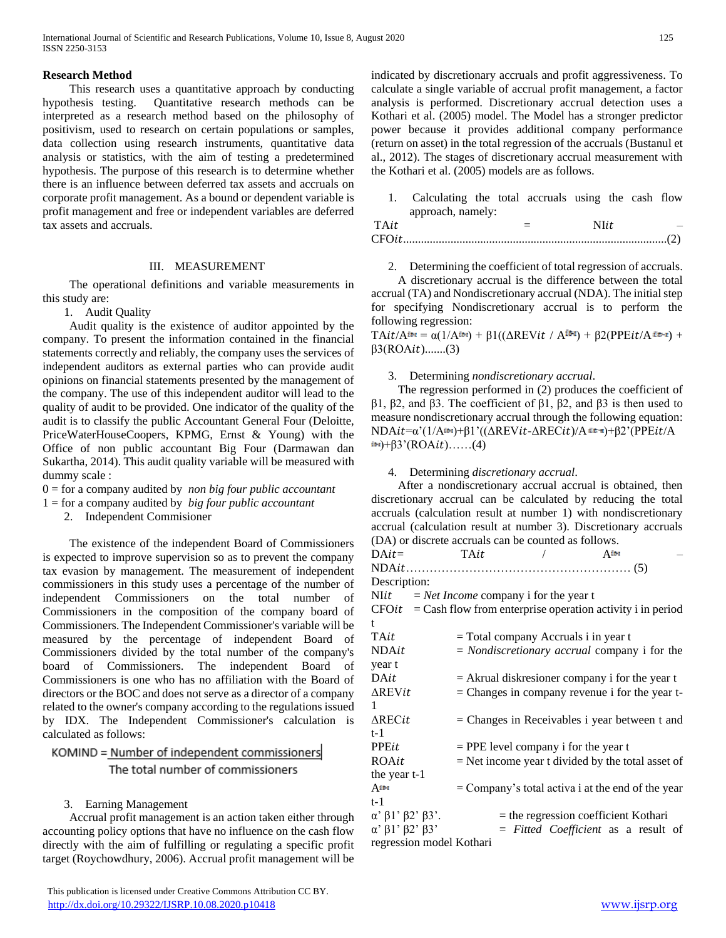# **Research Method**

 This research uses a quantitative approach by conducting hypothesis testing. Quantitative research methods can be interpreted as a research method based on the philosophy of positivism, used to research on certain populations or samples, data collection using research instruments, quantitative data analysis or statistics, with the aim of testing a predetermined hypothesis. The purpose of this research is to determine whether there is an influence between deferred tax assets and accruals on corporate profit management. As a bound or dependent variable is profit management and free or independent variables are deferred tax assets and accruals.

# III. MEASUREMENT

 The operational definitions and variable measurements in this study are:

1. Audit Quality

 Audit quality is the existence of auditor appointed by the company. To present the information contained in the financial statements correctly and reliably, the company uses the services of independent auditors as external parties who can provide audit opinions on financial statements presented by the management of the company. The use of this independent auditor will lead to the quality of audit to be provided. One indicator of the quality of the audit is to classify the public Accountant General Four (Deloitte, PriceWaterHouseCoopers, KPMG, Ernst & Young) with the Office of non public accountant Big Four (Darmawan dan Sukartha, 2014). This audit quality variable will be measured with dummy scale :

- 0 = for a company audited by *non big four public accountant*
- 1 = for a company audited by *big four public accountant*

2. Independent Commisioner

 The existence of the independent Board of Commissioners is expected to improve supervision so as to prevent the company tax evasion by management. The measurement of independent commissioners in this study uses a percentage of the number of independent Commissioners on the total number of Commissioners in the composition of the company board of Commissioners. The Independent Commissioner's variable will be measured by the percentage of independent Board of Commissioners divided by the total number of the company's board of Commissioners. The independent Board of Commissioners is one who has no affiliation with the Board of directors or the BOC and does not serve as a director of a company related to the owner's company according to the regulations issued by IDX. The Independent Commissioner's calculation is calculated as follows:

KOMIND = Number of independent commissioners The total number of commissioners

# 3. Earning Management

 Accrual profit management is an action taken either through accounting policy options that have no influence on the cash flow directly with the aim of fulfilling or regulating a specific profit target (Roychowdhury, 2006). Accrual profit management will be

 This publication is licensed under Creative Commons Attribution CC BY. <http://dx.doi.org/10.29322/IJSRP.10.08.2020.p10418> [www.ijsrp.org](http://ijsrp.org/)

indicated by discretionary accruals and profit aggressiveness. To calculate a single variable of accrual profit management, a factor analysis is performed. Discretionary accrual detection uses a Kothari et al. (2005) model. The Model has a stronger predictor power because it provides additional company performance (return on asset) in the total regression of the accruals (Bustanul et al., 2012). The stages of discretionary accrual measurement with the Kothari et al. (2005) models are as follows.

1. Calculating the total accruals using the cash flow approach, namely:

| $TA$ it |  |  |
|---------|--|--|
|         |  |  |

2. Determining the coefficient of total regression of accruals.

 A discretionary accrual is the difference between the total accrual (TA) and Nondiscretionary accrual (NDA). The initial step for specifying Nondiscretionary accrual is to perform the following regression:

 $\text{TAit}/\text{A}$ it-i =  $\alpha(1/\text{A}$ it-i) +  $\beta1((\Delta \text{REV}it / \text{A}$ it-i) +  $\beta2(\text{PPE}it / \text{A}$ it-i) +  $\beta$ 3(ROA $it)$ .......(3)

# 3. Determining *nondiscretionary accrual*.

 The regression performed in (2) produces the coefficient of β1, β2, and β3. The coefficient of β1, β2, and β3 is then used to measure nondiscretionary accrual through the following equation: NDAit=α'(1/Ait+1)+β1'(( $\Delta$ REVit- $\Delta$ RECit)/A it+1)+β2'(PPEit/A  $(iH) + \beta 3' (ROAit)$ ……(4)

# 4. Determining *discretionary accrual*.

 After a nondiscretionary accrual accrual is obtained, then discretionary accrual can be calculated by reducing the total accruals (calculation result at number 1) with nondiscretionary accrual (calculation result at number 3). Discretionary accruals (DA) or discrete accruals can be counted as follows.

| $DAit=$                                                            | TAit |                                                | Attri                                                 |  |
|--------------------------------------------------------------------|------|------------------------------------------------|-------------------------------------------------------|--|
|                                                                    |      |                                                |                                                       |  |
| Description:                                                       |      |                                                |                                                       |  |
| NIit                                                               |      | $=$ <i>Net Income</i> company i for the year t |                                                       |  |
| $CFOit = Cash$ flow from enterprise operation activity i in period |      |                                                |                                                       |  |
|                                                                    |      |                                                |                                                       |  |
| TAit                                                               |      |                                                | $=$ Total company Accruals i in year t                |  |
| <b>NDAit</b>                                                       |      |                                                | $=$ <i>Nondiscretionary accrual</i> company i for the |  |
| year t                                                             |      |                                                |                                                       |  |
| DAit                                                               |      |                                                | $=$ Akrual diskresioner company i for the year t      |  |
| $\Delta$ REVit                                                     |      |                                                | $=$ Changes in company revenue i for the year t-      |  |
| 1                                                                  |      |                                                |                                                       |  |
| $\Delta$ RECit                                                     |      |                                                | $=$ Changes in Receivables i year between t and       |  |
| t-1                                                                |      |                                                |                                                       |  |
| PPEit                                                              |      |                                                | $=$ PPE level company i for the year t                |  |
| ROAit                                                              |      |                                                | $=$ Net income year t divided by the total asset of   |  |
| the year t-1                                                       |      |                                                |                                                       |  |
| $A^{it-t}$                                                         |      |                                                | $=$ Company's total activa i at the end of the year   |  |
| t-1                                                                |      |                                                |                                                       |  |
| $\alpha'$ $\beta$ 1' $\beta$ 2' $\beta$ 3'.                        |      |                                                | $=$ the regression coefficient Kothari                |  |
| $\alpha'$ $\beta$ 1' $\beta$ 2' $\beta$ 3'                         |      |                                                | $=$ Fitted Coefficient as a result of                 |  |
| regression model Kothari                                           |      |                                                |                                                       |  |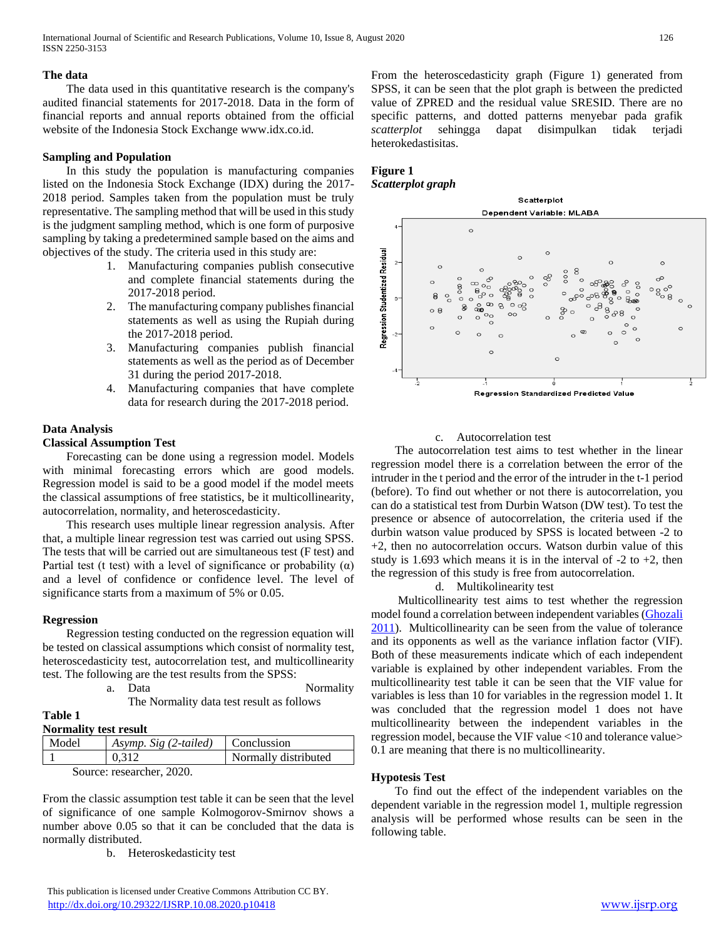# **The data**

 The data used in this quantitative research is the company's audited financial statements for 2017-2018. Data in the form of financial reports and annual reports obtained from the official website of the Indonesia Stock Exchange www.idx.co.id.

# **Sampling and Population**

 In this study the population is manufacturing companies listed on the Indonesia Stock Exchange (IDX) during the 2017- 2018 period. Samples taken from the population must be truly representative. The sampling method that will be used in this study is the judgment sampling method, which is one form of purposive sampling by taking a predetermined sample based on the aims and objectives of the study. The criteria used in this study are:

- 1. Manufacturing companies publish consecutive and complete financial statements during the 2017-2018 period.
- 2. The manufacturing company publishes financial statements as well as using the Rupiah during the 2017-2018 period.
- 3. Manufacturing companies publish financial statements as well as the period as of December 31 during the period 2017-2018.
- 4. Manufacturing companies that have complete data for research during the 2017-2018 period.

# **Data Analysis**

# **Classical Assumption Test**

 Forecasting can be done using a regression model. Models with minimal forecasting errors which are good models. Regression model is said to be a good model if the model meets the classical assumptions of free statistics, be it multicollinearity, autocorrelation, normality, and heteroscedasticity.

 This research uses multiple linear regression analysis. After that, a multiple linear regression test was carried out using SPSS. The tests that will be carried out are simultaneous test (F test) and Partial test (t test) with a level of significance or probability  $(\alpha)$ and a level of confidence or confidence level. The level of significance starts from a maximum of 5% or 0.05.

## **Regression**

 Regression testing conducted on the regression equation will be tested on classical assumptions which consist of normality test, heteroscedasticity test, autocorrelation test, and multicollinearity test. The following are the test results from the SPSS:

| a. | Data | Normality |
|----|------|-----------|
|----|------|-----------|

The Normality data test result as follows

#### **Table 1 Normality test result**

| TOTHIQHTY RESULTESHIP     |                       |                      |  |  |
|---------------------------|-----------------------|----------------------|--|--|
| Model                     | Asymp. Sig (2-tailed) | Conclussion          |  |  |
|                           | 0.312                 | Normally distributed |  |  |
| Source: researcher. 2020. |                       |                      |  |  |

From the classic assumption test table it can be seen that the level of significance of one sample Kolmogorov-Smirnov shows a number above 0.05 so that it can be concluded that the data is normally distributed.

b. Heteroskedasticity test

 This publication is licensed under Creative Commons Attribution CC BY. <http://dx.doi.org/10.29322/IJSRP.10.08.2020.p10418> [www.ijsrp.org](http://ijsrp.org/)

From the heteroscedasticity graph (Figure 1) generated from SPSS, it can be seen that the plot graph is between the predicted value of ZPRED and the residual value SRESID. There are no specific patterns, and dotted patterns menyebar pada grafik *scatterplot* sehingga dapat disimpulkan tidak terjadi heterokedastisitas.

# **Figure 1** *Scatterplot graph*



# c. Autocorrelation test

 The autocorrelation test aims to test whether in the linear regression model there is a correlation between the error of the intruder in the t period and the error of the intruder in the t-1 period (before). To find out whether or not there is autocorrelation, you can do a statistical test from Durbin Watson (DW test). To test the presence or absence of autocorrelation, the criteria used if the durbin watson value produced by SPSS is located between -2 to +2, then no autocorrelation occurs. Watson durbin value of this study is 1.693 which means it is in the interval of  $-2$  to  $+2$ , then the regression of this study is free from autocorrelation.

d. Multikolinearity test

 Multicollinearity test aims to test whether the regression model found a correlation between independent variables [\(Ghozali](#page-6-11)  [2011\)](#page-6-11). Multicollinearity can be seen from the value of tolerance and its opponents as well as the variance inflation factor (VIF). Both of these measurements indicate which of each independent variable is explained by other independent variables. From the multicollinearity test table it can be seen that the VIF value for variables is less than 10 for variables in the regression model 1. It was concluded that the regression model 1 does not have multicollinearity between the independent variables in the regression model, because the VIF value <10 and tolerance value> 0.1 are meaning that there is no multicollinearity.

# **Hypotesis Test**

 To find out the effect of the independent variables on the dependent variable in the regression model 1, multiple regression analysis will be performed whose results can be seen in the following table.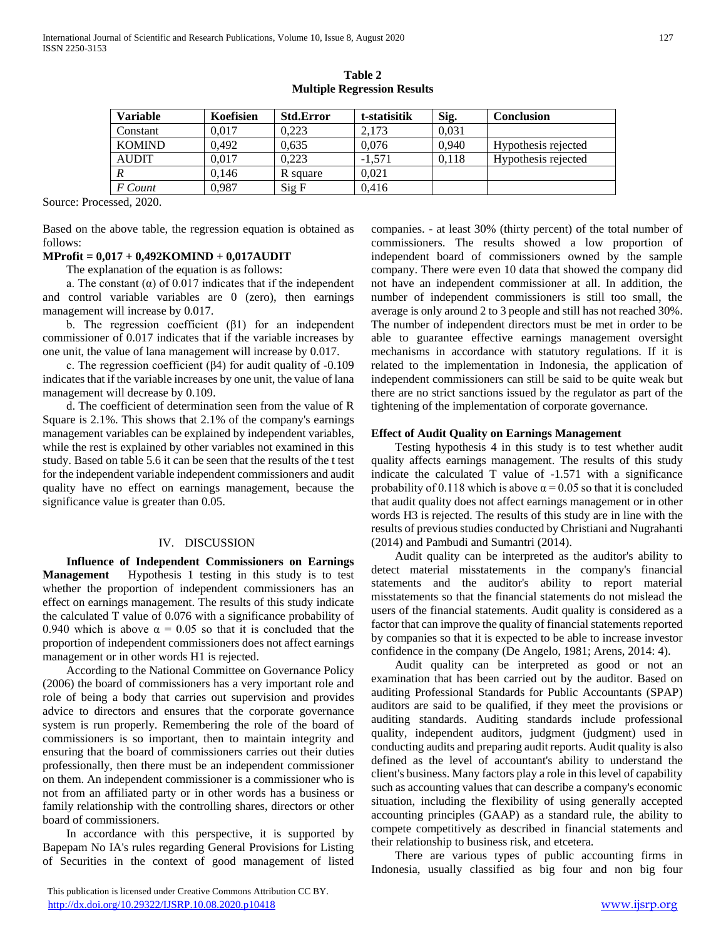| <b>Variable</b> | Koefisien | <b>Std.Error</b> | t-statisitik | Sig.  | Conclusion          |
|-----------------|-----------|------------------|--------------|-------|---------------------|
| Constant        | 0.017     | 0.223            | 2.173        | 0,031 |                     |
| <b>KOMIND</b>   | 0.492     | 0.635            | 0.076        | 0.940 | Hypothesis rejected |
| <b>AUDIT</b>    | 0.017     | 0.223            | $-1.571$     | 0.118 | Hypothesis rejected |
|                 | 0.146     | R square         | 0.021        |       |                     |
| F Count         | 0.987     | Sig F            | 0.416        |       |                     |

**Table 2 Multiple Regression Results**

Source: Processed, 2020.

Based on the above table, the regression equation is obtained as follows:

# **MProfit = 0,017 + 0,492KOMIND + 0,017AUDIT**

The explanation of the equation is as follows:

a. The constant  $(\alpha)$  of 0.017 indicates that if the independent and control variable variables are 0 (zero), then earnings management will increase by 0.017.

b. The regression coefficient  $(\beta 1)$  for an independent commissioner of 0.017 indicates that if the variable increases by one unit, the value of lana management will increase by 0.017.

 c. The regression coefficient (β4) for audit quality of -0.109 indicates that if the variable increases by one unit, the value of lana management will decrease by 0.109.

 d. The coefficient of determination seen from the value of R Square is 2.1%. This shows that 2.1% of the company's earnings management variables can be explained by independent variables, while the rest is explained by other variables not examined in this study. Based on table 5.6 it can be seen that the results of the t test for the independent variable independent commissioners and audit quality have no effect on earnings management, because the significance value is greater than 0.05.

# IV. DISCUSSION

 **Influence of Independent Commissioners on Earnings Management** Hypothesis 1 testing in this study is to test whether the proportion of independent commissioners has an effect on earnings management. The results of this study indicate the calculated T value of 0.076 with a significance probability of 0.940 which is above  $\alpha = 0.05$  so that it is concluded that the proportion of independent commissioners does not affect earnings management or in other words H1 is rejected.

 According to the National Committee on Governance Policy (2006) the board of commissioners has a very important role and role of being a body that carries out supervision and provides advice to directors and ensures that the corporate governance system is run properly. Remembering the role of the board of commissioners is so important, then to maintain integrity and ensuring that the board of commissioners carries out their duties professionally, then there must be an independent commissioner on them. An independent commissioner is a commissioner who is not from an affiliated party or in other words has a business or family relationship with the controlling shares, directors or other board of commissioners.

 In accordance with this perspective, it is supported by Bapepam No IA's rules regarding General Provisions for Listing of Securities in the context of good management of listed

 This publication is licensed under Creative Commons Attribution CC BY. <http://dx.doi.org/10.29322/IJSRP.10.08.2020.p10418> [www.ijsrp.org](http://ijsrp.org/)

companies. - at least 30% (thirty percent) of the total number of commissioners. The results showed a low proportion of independent board of commissioners owned by the sample company. There were even 10 data that showed the company did not have an independent commissioner at all. In addition, the number of independent commissioners is still too small, the average is only around 2 to 3 people and still has not reached 30%. The number of independent directors must be met in order to be able to guarantee effective earnings management oversight mechanisms in accordance with statutory regulations. If it is related to the implementation in Indonesia, the application of independent commissioners can still be said to be quite weak but there are no strict sanctions issued by the regulator as part of the tightening of the implementation of corporate governance.

#### **Effect of Audit Quality on Earnings Management**

 Testing hypothesis 4 in this study is to test whether audit quality affects earnings management. The results of this study indicate the calculated T value of -1.571 with a significance probability of 0.118 which is above  $\alpha = 0.05$  so that it is concluded that audit quality does not affect earnings management or in other words H3 is rejected. The results of this study are in line with the results of previous studies conducted by Christiani and Nugrahanti (2014) and Pambudi and Sumantri (2014).

 Audit quality can be interpreted as the auditor's ability to detect material misstatements in the company's financial statements and the auditor's ability to report material misstatements so that the financial statements do not mislead the users of the financial statements. Audit quality is considered as a factor that can improve the quality of financial statements reported by companies so that it is expected to be able to increase investor confidence in the company (De Angelo, 1981; Arens, 2014: 4).

 Audit quality can be interpreted as good or not an examination that has been carried out by the auditor. Based on auditing Professional Standards for Public Accountants (SPAP) auditors are said to be qualified, if they meet the provisions or auditing standards. Auditing standards include professional quality, independent auditors, judgment (judgment) used in conducting audits and preparing audit reports. Audit quality is also defined as the level of accountant's ability to understand the client's business. Many factors play a role in this level of capability such as accounting values that can describe a company's economic situation, including the flexibility of using generally accepted accounting principles (GAAP) as a standard rule, the ability to compete competitively as described in financial statements and their relationship to business risk, and etcetera.

 There are various types of public accounting firms in Indonesia, usually classified as big four and non big four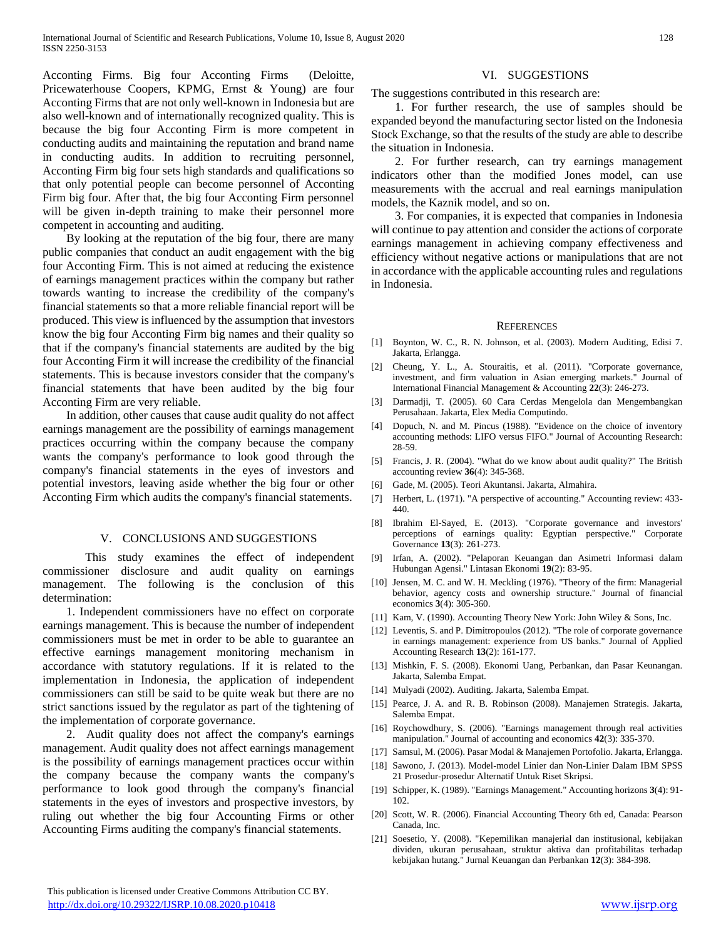Acconting Firms. Big four Acconting Firms (Deloitte, Pricewaterhouse Coopers, KPMG, Ernst & Young) are four Acconting Firms that are not only well-known in Indonesia but are also well-known and of internationally recognized quality. This is because the big four Acconting Firm is more competent in conducting audits and maintaining the reputation and brand name in conducting audits. In addition to recruiting personnel, Acconting Firm big four sets high standards and qualifications so that only potential people can become personnel of Acconting Firm big four. After that, the big four Acconting Firm personnel will be given in-depth training to make their personnel more competent in accounting and auditing.

 By looking at the reputation of the big four, there are many public companies that conduct an audit engagement with the big four Acconting Firm. This is not aimed at reducing the existence of earnings management practices within the company but rather towards wanting to increase the credibility of the company's financial statements so that a more reliable financial report will be produced. This view is influenced by the assumption that investors know the big four Acconting Firm big names and their quality so that if the company's financial statements are audited by the big four Acconting Firm it will increase the credibility of the financial statements. This is because investors consider that the company's financial statements that have been audited by the big four Acconting Firm are very reliable.

 In addition, other causes that cause audit quality do not affect earnings management are the possibility of earnings management practices occurring within the company because the company wants the company's performance to look good through the company's financial statements in the eyes of investors and potential investors, leaving aside whether the big four or other Acconting Firm which audits the company's financial statements.

## V. CONCLUSIONS AND SUGGESTIONS

This study examines the effect of independent commissioner disclosure and audit quality on earnings management. The following is the conclusion of this determination:

 1. Independent commissioners have no effect on corporate earnings management. This is because the number of independent commissioners must be met in order to be able to guarantee an effective earnings management monitoring mechanism in accordance with statutory regulations. If it is related to the implementation in Indonesia, the application of independent commissioners can still be said to be quite weak but there are no strict sanctions issued by the regulator as part of the tightening of the implementation of corporate governance.

 2. Audit quality does not affect the company's earnings management. Audit quality does not affect earnings management is the possibility of earnings management practices occur within the company because the company wants the company's performance to look good through the company's financial statements in the eyes of investors and prospective investors, by ruling out whether the big four Accounting Firms or other Accounting Firms auditing the company's financial statements.

# VI. SUGGESTIONS

The suggestions contributed in this research are:

 1. For further research, the use of samples should be expanded beyond the manufacturing sector listed on the Indonesia Stock Exchange, so that the results of the study are able to describe the situation in Indonesia.

 2. For further research, can try earnings management indicators other than the modified Jones model, can use measurements with the accrual and real earnings manipulation models, the Kaznik model, and so on.

 3. For companies, it is expected that companies in Indonesia will continue to pay attention and consider the actions of corporate earnings management in achieving company effectiveness and efficiency without negative actions or manipulations that are not in accordance with the applicable accounting rules and regulations in Indonesia.

#### **REFERENCES**

- <span id="page-6-6"></span>[1] Boynton, W. C., R. N. Johnson, et al. (2003). Modern Auditing, Edisi 7. Jakarta, Erlangga.
- [2] Cheung, Y. L., A. Stouraitis, et al. (2011). "Corporate governance, investment, and firm valuation in Asian emerging markets." Journal of International Financial Management & Accounting **22**(3): 246-273.
- [3] Darmadji, T. (2005). 60 Cara Cerdas Mengelola dan Mengembangkan Perusahaan. Jakarta, Elex Media Computindo.
- <span id="page-6-9"></span>[4] Dopuch, N. and M. Pincus (1988). "Evidence on the choice of inventory accounting methods: LIFO versus FIFO." Journal of Accounting Research: 28-59.
- <span id="page-6-5"></span>[5] Francis, J. R. (2004). "What do we know about audit quality?" The British accounting review **36**(4): 345-368.
- <span id="page-6-2"></span>[6] Gade, M. (2005). Teori Akuntansi. Jakarta, Almahira.
- <span id="page-6-10"></span>[7] Herbert, L. (1971). "A perspective of accounting." Accounting review: 433- 440.
- <span id="page-6-11"></span>[8] Ibrahim El-Sayed, E. (2013). "Corporate governance and investors' perceptions of earnings quality: Egyptian perspective." Corporate Governance **13**(3): 261-273.
- [9] Irfan, A. (2002). "Pelaporan Keuangan dan Asimetri Informasi dalam Hubungan Agensi." Lintasan Ekonomi **19**(2): 83-95.
- <span id="page-6-3"></span>[10] Jensen, M. C. and W. H. Meckling (1976). "Theory of the firm: Managerial behavior, agency costs and ownership structure." Journal of financial economics **3**(4): 305-360.
- [11] Kam, V. (1990). Accounting Theory New York: John Wiley & Sons, Inc.
- [12] Leventis, S. and P. Dimitropoulos (2012). "The role of corporate governance in earnings management: experience from US banks." Journal of Applied Accounting Research **13**(2): 161-177.
- [13] Mishkin, F. S. (2008). Ekonomi Uang, Perbankan, dan Pasar Keunangan. Jakarta, Salemba Empat.
- <span id="page-6-0"></span>[14] Mulyadi (2002). Auditing. Jakarta, Salemba Empat.
- <span id="page-6-7"></span>[15] Pearce, J. A. and R. B. Robinson (2008). Manajemen Strategis. Jakarta, Salemba Empat.
- [16] Roychowdhury, S. (2006). "Earnings management through real activities manipulation." Journal of accounting and economics **42**(3): 335-370.
- [17] Samsul, M. (2006). Pasar Modal & Manajemen Portofolio. Jakarta, Erlangga.
- <span id="page-6-1"></span>[18] Sawono, J. (2013). Model-model Linier dan Non-Linier Dalam IBM SPSS 21 Prosedur-prosedur Alternatif Untuk Riset Skripsi.
- <span id="page-6-8"></span>[19] Schipper, K. (1989). "Earnings Management." Accounting horizons **3**(4): 91- 102.
- [20] Scott, W. R. (2006). Financial Accounting Theory 6th ed, Canada: Pearson Canada, Inc.
- <span id="page-6-4"></span>[21] Soesetio, Y. (2008). "Kepemilikan manajerial dan institusional, kebijakan dividen, ukuran perusahaan, struktur aktiva dan profitabilitas terhadap kebijakan hutang." Jurnal Keuangan dan Perbankan **12**(3): 384-398.